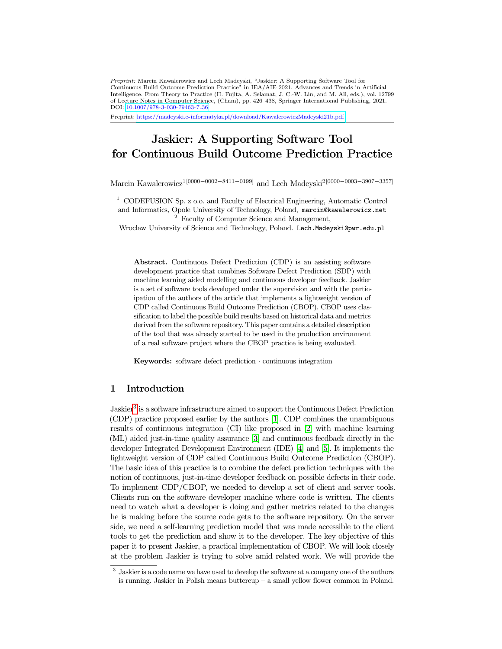Preprint: Marcin Kawalerowicz and Lech Madeyski, "Jaskier: A Supporting Software Tool for Continuous Build Outcome Prediction Practice" in IEA/AIE 2021. Advances and Trends in Artificial Intelligence. From Theory to Practice (H. Fujita, A. Selamat, J. C.-W. Lin, and M. Ali, eds.), vol. 12799 of Lecture Notes in Computer Science, (Cham), pp. 426–438, Springer International Publishing, 2021. DOI: [10.1007/978-3-030-79463-7](http://dx.doi.org/10.1007/978-3-030-79463-7_36) 36

Preprint: <https://madeyski.e-informatyka.pl/download/KawalerowiczMadeyski21b.pdf>

# Jaskier: A Supporting Software Tool for Continuous Build Outcome Prediction Practice

Marcin Kawalerowicz<sup>1[0000–0002–8411–0199]</sup> and Lech Madeyski<sup>2[0000–0003–3907–3357]</sup>

<sup>1</sup> CODEFUSION Sp. z o.o. and Faculty of Electrical Engineering, Automatic Control and Informatics, Opole University of Technology, Poland, marcin@kawalerowicz.net <sup>2</sup> Faculty of Computer Science and Management,

Wroclaw University of Science and Technology, Poland. Lech.Madeyski@pwr.edu.pl

Abstract. Continuous Defect Prediction (CDP) is an assisting software development practice that combines Software Defect Prediction (SDP) with machine learning aided modelling and continuous developer feedback. Jaskier is a set of software tools developed under the supervision and with the participation of the authors of the article that implements a lightweight version of CDP called Continuous Build Outcome Prediction (CBOP). CBOP uses classification to label the possible build results based on historical data and metrics derived from the software repository. This paper contains a detailed description of the tool that was already started to be used in the production environment of a real software project where the CBOP practice is being evaluated.

Keywords: software defect prediction · continuous integration

# 1 Introduction

Jaskier<sup>[3](#page-0-0)</sup> is a software infrastructure aimed to support the Continuous Defect Prediction (CDP) practice proposed earlier by the authors [\[1\]](#page-10-0). CDP combines the unambiguous results of continuous integration (CI) like proposed in [\[2\]](#page-10-1) with machine learning (ML) aided just-in-time quality assurance [\[3\]](#page-11-0) and continuous feedback directly in the developer Integrated Development Environment (IDE) [\[4\]](#page-11-1) and [\[5\]](#page-11-2). It implements the lightweight version of CDP called Continuous Build Outcome Prediction (CBOP). The basic idea of this practice is to combine the defect prediction techniques with the notion of continuous, just-in-time developer feedback on possible defects in their code. To implement CDP/CBOP, we needed to develop a set of client and server tools. Clients run on the software developer machine where code is written. The clients need to watch what a developer is doing and gather metrics related to the changes he is making before the source code gets to the software repository. On the server side, we need a self-learning prediction model that was made accessible to the client tools to get the prediction and show it to the developer. The key objective of this paper it to present Jaskier, a practical implementation of CBOP. We will look closely at the problem Jaskier is trying to solve amid related work. We will provide the

<span id="page-0-0"></span> $3$  Jaskier is a code name we have used to develop the software at a company one of the authors is running. Jaskier in Polish means buttercup – a small yellow flower common in Poland.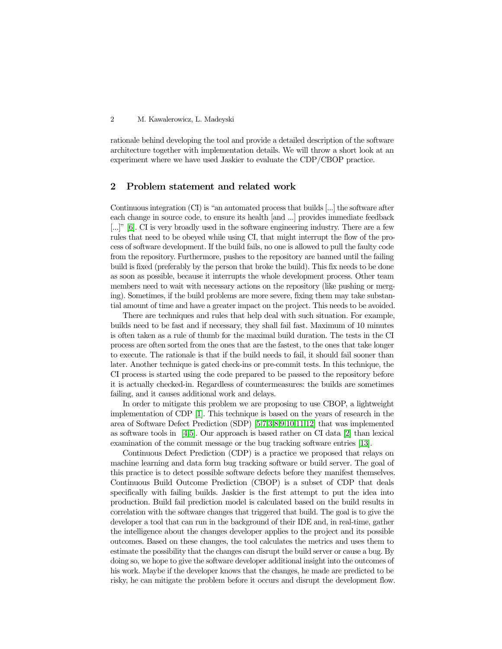rationale behind developing the tool and provide a detailed description of the software architecture together with implementation details. We will throw a short look at an experiment where we have used Jaskier to evaluate the CDP/CBOP practice.

# <span id="page-1-0"></span>2 Problem statement and related work

Continuous integration (CI) is "an automated process that builds [...] the software after each change in source code, to ensure its health [and ...] provides immediate feedback [...]" [\[6\]](#page-11-3). CI is very broadly used in the software engineering industry. There are a few rules that need to be obeyed while using CI, that might interrupt the flow of the process of software development. If the build fails, no one is allowed to pull the faulty code from the repository. Furthermore, pushes to the repository are banned until the failing build is fixed (preferably by the person that broke the build). This fix needs to be done as soon as possible, because it interrupts the whole development process. Other team members need to wait with necessary actions on the repository (like pushing or merging). Sometimes, if the build problems are more severe, fixing them may take substantial amount of time and have a greater impact on the project. This needs to be avoided.

There are techniques and rules that help deal with such situation. For example, builds need to be fast and if necessary, they shall fail fast. Maximum of 10 minutes is often taken as a rule of thumb for the maximal build duration. The tests in the CI process are often sorted from the ones that are the fastest, to the ones that take longer to execute. The rationale is that if the build needs to fail, it should fail sooner than later. Another technique is gated check-ins or pre-commit tests. In this technique, the CI process is started using the code prepared to be passed to the repository before it is actually checked-in. Regardless of countermeasures: the builds are sometimes failing, and it causes additional work and delays.

In order to mitigate this problem we are proposing to use CBOP, a lightweight implementation of CDP [\[1\]](#page-10-0). This technique is based on the years of research in the area of Software Defect Prediction (SDP) [\[5,](#page-11-2)[7](#page-11-4)[,3,](#page-11-0)[8](#page-11-5)[,9,](#page-11-6)[10,](#page-11-7)[11,](#page-11-8)[12\]](#page-11-9) that was implemented as software tools in  $[4,5]$  $[4,5]$ . Our approach is based rather on CI data  $[2]$  than lexical examination of the commit message or the bug tracking software entries [\[13\]](#page-11-10).

Continuous Defect Prediction (CDP) is a practice we proposed that relays on machine learning and data form bug tracking software or build server. The goal of this practice is to detect possible software defects before they manifest themselves. Continuous Build Outcome Prediction (CBOP) is a subset of CDP that deals specifically with failing builds. Jaskier is the first attempt to put the idea into production. Build fail prediction model is calculated based on the build results in correlation with the software changes that triggered that build. The goal is to give the developer a tool that can run in the background of their IDE and, in real-time, gather the intelligence about the changes developer applies to the project and its possible outcomes. Based on these changes, the tool calculates the metrics and uses them to estimate the possibility that the changes can disrupt the build server or cause a bug. By doing so, we hope to give the software developer additional insight into the outcomes of his work. Maybe if the developer knows that the changes, he made are predicted to be risky, he can mitigate the problem before it occurs and disrupt the development flow.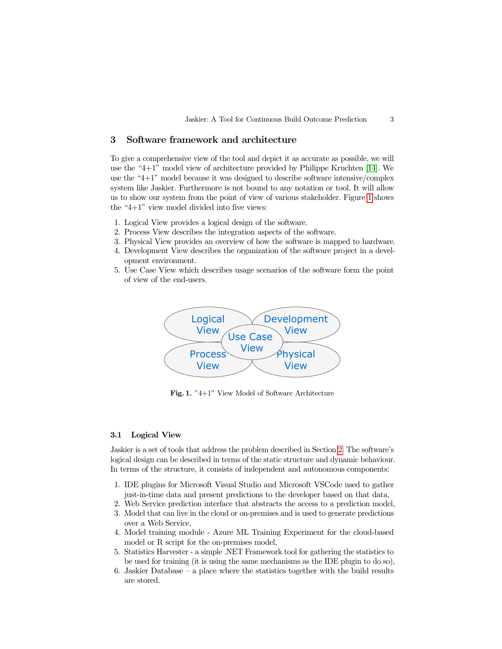# 3 Software framework and architecture

To give a comprehensive view of the tool and depict it as accurate as possible, we will use the "4+1" model view of architecture provided by Philippe Kruchten [\[14\]](#page-11-11). We use the "4+1" model because it was designed to describe software intensive/complex system like Jaskier. Furthermore is not bound to any notation or tool. It will allow us to show our system from the point of view of various stakeholder. Figure [1](#page-2-0) shows the "4+1" view model divided into five views:

- 1. Logical View provides a logical design of the software.
- 2. Process View describes the integration aspects of the software.
- 3. Physical View provides an overview of how the software is mapped to hardware.
- 4. Development View describes the organization of the software project in a development environment.
- 5. Use Case View which describes usage scenarios of the software form the point of view of the end-users.



<span id="page-2-0"></span>Fig. 1. "4+1" View Model of Software Architecture

### <span id="page-2-1"></span>3.1 Logical View

Jaskier is a set of tools that address the problem described in Section [2.](#page-1-0) The software's logical design can be described in terms of the static structure and dynamic behaviour. In terms of the structure, it consists of independent and autonomous components:

- 1. IDE plugins for Microsoft Visual Studio and Microsoft VSCode used to gather just-in-time data and present predictions to the developer based on that data,
- 2. Web Service prediction interface that abstracts the access to a prediction model,
- 3. Model that can live in the cloud or on-premises and is used to generate predictions over a Web Service,
- 4. Model training module Azure ML Training Experiment for the cloud-based model or R script for the on-premises model,
- 5. Statistics Harvester a simple .NET Framework tool for gathering the statistics to be used for training (it is using the same mechanisms as the IDE plugin to do so),
- 6. Jaskier Database a place where the statistics together with the build results are stored.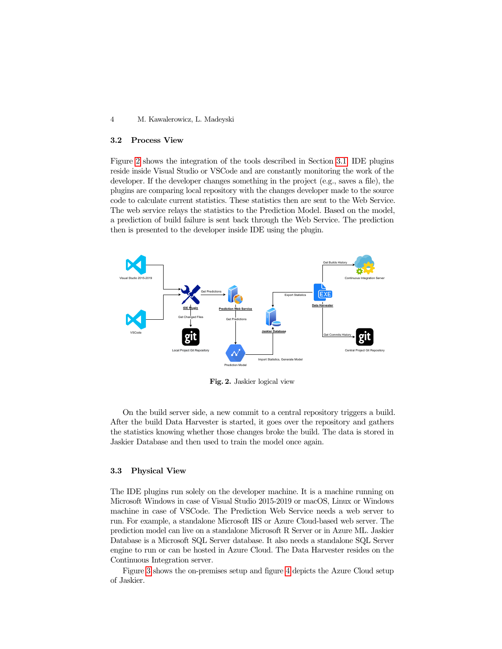### 3.2 Process View

Figure [2](#page-3-0) shows the integration of the tools described in Section [3.1.](#page-2-1) IDE plugins reside inside Visual Studio or VSCode and are constantly monitoring the work of the developer. If the developer changes something in the project (e.g., saves a file), the plugins are comparing local repository with the changes developer made to the source code to calculate current statistics. These statistics then are sent to the Web Service. The web service relays the statistics to the Prediction Model. Based on the model, a prediction of build failure is sent back through the Web Service. The prediction then is presented to the developer inside IDE using the plugin.



<span id="page-3-0"></span>Fig. 2. Jaskier logical view

On the build server side, a new commit to a central repository triggers a build. After the build Data Harvester is started, it goes over the repository and gathers the statistics knowing whether those changes broke the build. The data is stored in Jaskier Database and then used to train the model once again.

### 3.3 Physical View

The IDE plugins run solely on the developer machine. It is a machine running on Microsoft Windows in case of Visual Studio 2015-2019 or macOS, Linux or Windows machine in case of VSCode. The Prediction Web Service needs a web server to run. For example, a standalone Microsoft IIS or Azure Cloud-based web server. The prediction model can live on a standalone Microsoft R Server or in Azure ML. Jaskier Database is a Microsoft SQL Server database. It also needs a standalone SQL Server engine to run or can be hosted in Azure Cloud. The Data Harvester resides on the Continuous Integration server.

Figure [3](#page-4-0) shows the on-premises setup and figure [4](#page-4-1) depicts the Azure Cloud setup of Jaskier.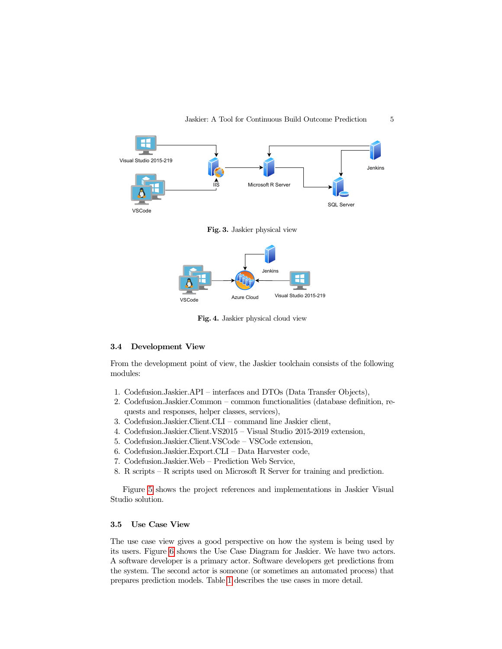

<span id="page-4-0"></span>

<span id="page-4-1"></span>Fig. 4. Jaskier physical cloud view

### <span id="page-4-2"></span>3.4 Development View

From the development point of view, the Jaskier toolchain consists of the following modules:

- 1. Codefusion.Jaskier.API interfaces and DTOs (Data Transfer Objects),
- 2. Codefusion.Jaskier.Common common functionalities (database definition, requests and responses, helper classes, services),
- 3. Codefusion.Jaskier.Client.CLI command line Jaskier client,
- 4. Codefusion.Jaskier.Client.VS2015 Visual Studio 2015-2019 extension,
- 5. Codefusion.Jaskier.Client.VSCode VSCode extension,
- 6. Codefusion.Jaskier.Export.CLI Data Harvester code,
- 7. Codefusion.Jaskier.Web Prediction Web Service,
- 8. R scripts R scripts used on Microsoft R Server for training and prediction.

Figure [5](#page-5-0) shows the project references and implementations in Jaskier Visual Studio solution.

### 3.5 Use Case View

The use case view gives a good perspective on how the system is being used by its users. Figure [6](#page-5-1) shows the Use Case Diagram for Jaskier. We have two actors. A software developer is a primary actor. Software developers get predictions from the system. The second actor is someone (or sometimes an automated process) that prepares prediction models. Table [1](#page-5-2) describes the use cases in more detail.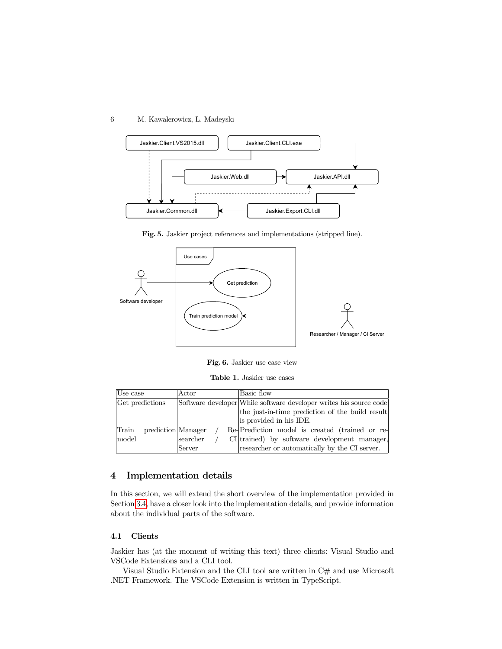

<span id="page-5-0"></span>Fig. 5. Jaskier project references and implementations (stripped line).



<span id="page-5-1"></span>Fig. 6. Jaskier use case view

<span id="page-5-2"></span>Table 1. Jaskier use cases

| Use case                    | Actor    | Basic flow                                                         |  |  |  |
|-----------------------------|----------|--------------------------------------------------------------------|--|--|--|
| Get predictions             |          | Software developer While software developer writes his source code |  |  |  |
|                             |          | the just-in-time prediction of the build result                    |  |  |  |
|                             |          | is provided in his IDE.                                            |  |  |  |
| prediction Manager<br>Train |          | Re-Prediction model is created (trained or re-                     |  |  |  |
| model                       | searcher | CI trained) by software development manager,                       |  |  |  |
|                             | Server   | researcher or automatically by the CI server.                      |  |  |  |

# 4 Implementation details

In this section, we will extend the short overview of the implementation provided in Section [3.4,](#page-4-2) have a closer look into the implementation details, and provide information about the individual parts of the software.

# 4.1 Clients

Jaskier has (at the moment of writing this text) three clients: Visual Studio and VSCode Extensions and a CLI tool.

Visual Studio Extension and the CLI tool are written in C# and use Microsoft .NET Framework. The VSCode Extension is written in TypeScript.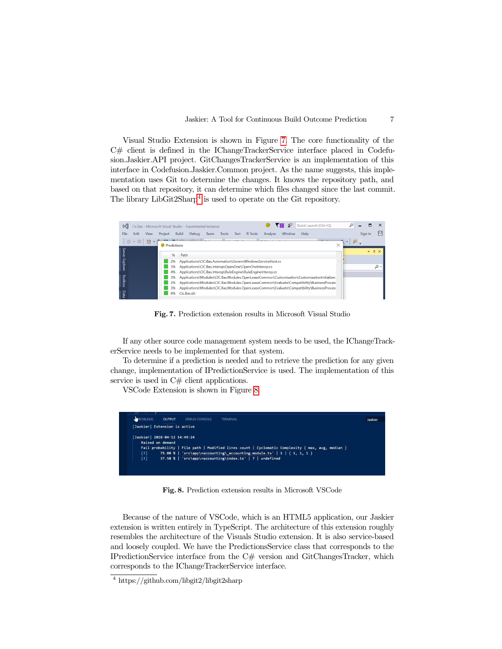Visual Studio Extension is shown in Figure [7.](#page-6-0) The core functionality of the C# client is defined in the IChangeTrackerService interface placed in Codefusion.Jaskier.API project. GitChangesTrackerService is an implementation of this interface in Codefusion.Jaskier.Common project. As the name suggests, this implementation uses Git to determine the changes. It knows the repository path, and based on that repository, it can determine which files changed since the last commit. The library  $LibGitzSharp<sup>4</sup>$  $LibGitzSharp<sup>4</sup>$  $LibGitzSharp<sup>4</sup>$  is used to operate on the Git repository.

| <b>DC</b>                                                  |             | Quick Launch (Ctrl+O)<br>Cic.Bas - Microsoft Visual Studio - Experimental Instance                                                                                                                                                                                                                                                                                                                                                                                                                                                                         |  |  |         |         |
|------------------------------------------------------------|-------------|------------------------------------------------------------------------------------------------------------------------------------------------------------------------------------------------------------------------------------------------------------------------------------------------------------------------------------------------------------------------------------------------------------------------------------------------------------------------------------------------------------------------------------------------------------|--|--|---------|---------|
| File<br>Edit                                               | <b>View</b> | R Tools<br>Window<br><b>Help</b><br><b>Build</b><br>Debua<br>Analyze<br>Tools<br><b>Test</b><br>Project<br>Team                                                                                                                                                                                                                                                                                                                                                                                                                                            |  |  | Sign in |         |
| ैं ०<br><b>RALL</b><br>褶<br>$\times$<br><b>Predictions</b> |             |                                                                                                                                                                                                                                                                                                                                                                                                                                                                                                                                                            |  |  |         |         |
| Server<br>Explorer<br>Toolbox<br>Data                      |             | %<br>Path<br>Applications\CIC.Bas.Automation\GenericWindowsServiceHost.cs<br>2%<br>3%<br>Applications\CIC.Bas.Interop\OpenOne\OpenOneInterop.cs<br>Applications\CIC.Bas.Interop\RuleEngine\RuleEngineInterop.cs<br>4%<br>Applications\Modules\CIC.Bas.Modules.OpenLeaseCommon\Customization\CustomizationInitializer.<br>3%<br>Applications\Modules\CIC.Bas.Modules.OpenLeaseCommon\Evaluate\Compatibility\BusinessProces:<br>2%<br>Applications\Modules\CIC.Bas.Modules.OpenLeaseCommon\Evaluate\Compatibility\BusinessProces:<br>3%<br>Cic.Bas.sln<br>6% |  |  |         | $\circ$ |

<span id="page-6-0"></span>Fig. 7. Prediction extension results in Microsoft Visual Studio

If any other source code management system needs to be used, the IChangeTrackerService needs to be implemented for that system.

To determine if a prediction is needed and to retrieve the prediction for any given change, implementation of IPredictionService is used. The implementation of this service is used in  $C#$  client applications.

VSCode Extension is shown in Figure [8.](#page-6-2)



Fig. 8. Prediction extension results in Microsoft VSCode

<span id="page-6-2"></span>Because of the nature of VSCode, which is an HTML5 application, our Jaskier extension is written entirely in TypeScript. The architecture of this extension roughly resembles the architecture of the Visuals Studio extension. It is also service-based and loosely coupled. We have the PredictionsService class that corresponds to the IPredictionService interface from the C# version and GitChangesTracker, which corresponds to the IChangeTrackerService interface.

<span id="page-6-1"></span><sup>4</sup> https://github.com/libgit2/libgit2sharp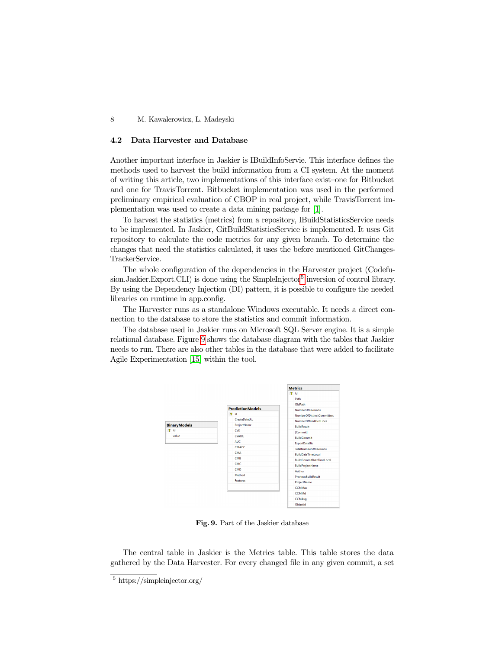### 4.2 Data Harvester and Database

Another important interface in Jaskier is IBuildInfoServie. This interface defines the methods used to harvest the build information from a CI system. At the moment of writing this article, two implementations of this interface exist–one for Bitbucket and one for TravisTorrent. Bitbucket implementation was used in the performed preliminary empirical evaluation of CBOP in real project, while TravisTorrent implementation was used to create a data mining package for [\[1\]](#page-10-0).

To harvest the statistics (metrics) from a repository, IBuildStatisticsService needs to be implemented. In Jaskier, GitBuildStatisticsService is implemented. It uses Git repository to calculate the code metrics for any given branch. To determine the changes that need the statistics calculated, it uses the before mentioned GitChanges-TrackerService.

The whole configuration of the dependencies in the Harvester project (Codefu-sion.Jaskier.Export.CLI) is done using the SimpleInjector<sup>[5](#page-7-0)</sup> inversion of control library. By using the Dependency Injection (DI) pattern, it is possible to configure the needed libraries on runtime in app.config.

The Harvester runs as a standalone Windows executable. It needs a direct connection to the database to store the statistics and commit information.

The database used in Jaskier runs on Microsoft SQL Server engine. It is a simple relational database. Figure [9](#page-7-1) shows the database diagram with the tables that Jaskier needs to run. There are also other tables in the database that were added to facilitate Agile Experimentation [\[15\]](#page-11-12) within the tool.



<span id="page-7-1"></span>Fig. 9. Part of the Jaskier database

The central table in Jaskier is the Metrics table. This table stores the data gathered by the Data Harvester. For every changed file in any given commit, a set

<span id="page-7-0"></span><sup>5</sup> https://simpleinjector.org/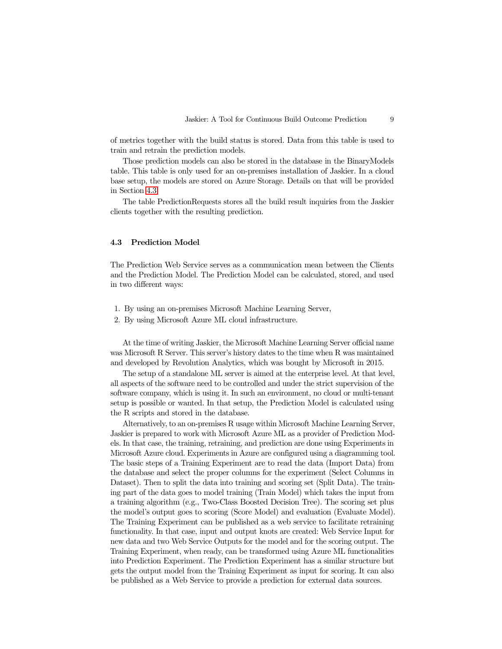of metrics together with the build status is stored. Data from this table is used to train and retrain the prediction models.

Those prediction models can also be stored in the database in the BinaryModels table. This table is only used for an on-premises installation of Jaskier. In a cloud base setup, the models are stored on Azure Storage. Details on that will be provided in Section [4.3.](#page-8-0)

The table PredictionRequests stores all the build result inquiries from the Jaskier clients together with the resulting prediction.

### <span id="page-8-0"></span>4.3 Prediction Model

The Prediction Web Service serves as a communication mean between the Clients and the Prediction Model. The Prediction Model can be calculated, stored, and used in two different ways:

- 1. By using an on-premises Microsoft Machine Learning Server,
- 2. By using Microsoft Azure ML cloud infrastructure.

At the time of writing Jaskier, the Microsoft Machine Learning Server official name was Microsoft R Server. This server's history dates to the time when R was maintained and developed by Revolution Analytics, which was bought by Microsoft in 2015.

The setup of a standalone ML server is aimed at the enterprise level. At that level, all aspects of the software need to be controlled and under the strict supervision of the software company, which is using it. In such an environment, no cloud or multi-tenant setup is possible or wanted. In that setup, the Prediction Model is calculated using the R scripts and stored in the database.

Alternatively, to an on-premises R usage within Microsoft Machine Learning Server, Jaskier is prepared to work with Microsoft Azure ML as a provider of Prediction Models. In that case, the training, retraining, and prediction are done using Experiments in Microsoft Azure cloud. Experiments in Azure are configured using a diagramming tool. The basic steps of a Training Experiment are to read the data (Import Data) from the database and select the proper columns for the experiment (Select Columns in Dataset). Then to split the data into training and scoring set (Split Data). The training part of the data goes to model training (Train Model) which takes the input from a training algorithm (e.g., Two-Class Boosted Decision Tree). The scoring set plus the model's output goes to scoring (Score Model) and evaluation (Evaluate Model). The Training Experiment can be published as a web service to facilitate retraining functionality. In that case, input and output knots are created: Web Service Input for new data and two Web Service Outputs for the model and for the scoring output. The Training Experiment, when ready, can be transformed using Azure ML functionalities into Prediction Experiment. The Prediction Experiment has a similar structure but gets the output model from the Training Experiment as input for scoring. It can also be published as a Web Service to provide a prediction for external data sources.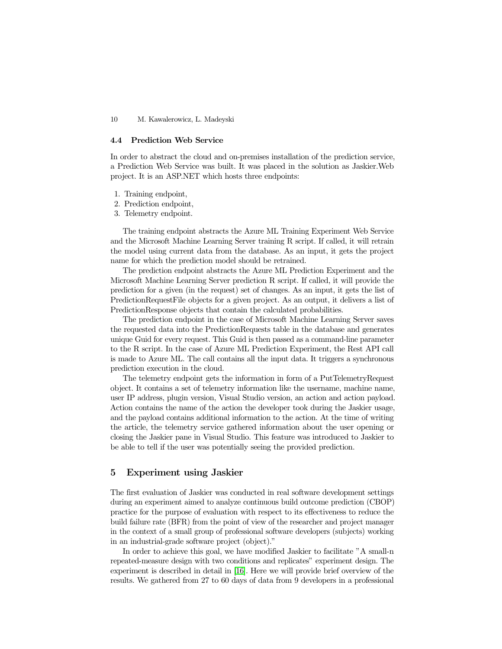### 4.4 Prediction Web Service

In order to abstract the cloud and on-premises installation of the prediction service, a Prediction Web Service was built. It was placed in the solution as Jaskier.Web project. It is an ASP.NET which hosts three endpoints:

- 1. Training endpoint,
- 2. Prediction endpoint,
- 3. Telemetry endpoint.

The training endpoint abstracts the Azure ML Training Experiment Web Service and the Microsoft Machine Learning Server training R script. If called, it will retrain the model using current data from the database. As an input, it gets the project name for which the prediction model should be retrained.

The prediction endpoint abstracts the Azure ML Prediction Experiment and the Microsoft Machine Learning Server prediction R script. If called, it will provide the prediction for a given (in the request) set of changes. As an input, it gets the list of PredictionRequestFile objects for a given project. As an output, it delivers a list of PredictionResponse objects that contain the calculated probabilities.

The prediction endpoint in the case of Microsoft Machine Learning Server saves the requested data into the PredictionRequests table in the database and generates unique Guid for every request. This Guid is then passed as a command-line parameter to the R script. In the case of Azure ML Prediction Experiment, the Rest API call is made to Azure ML. The call contains all the input data. It triggers a synchronous prediction execution in the cloud.

The telemetry endpoint gets the information in form of a PutTelemetryRequest object. It contains a set of telemetry information like the username, machine name, user IP address, plugin version, Visual Studio version, an action and action payload. Action contains the name of the action the developer took during the Jaskier usage, and the payload contains additional information to the action. At the time of writing the article, the telemetry service gathered information about the user opening or closing the Jaskier pane in Visual Studio. This feature was introduced to Jaskier to be able to tell if the user was potentially seeing the provided prediction.

### 5 Experiment using Jaskier

The first evaluation of Jaskier was conducted in real software development settings during an experiment aimed to analyze continuous build outcome prediction (CBOP) practice for the purpose of evaluation with respect to its effectiveness to reduce the build failure rate (BFR) from the point of view of the researcher and project manager in the context of a small group of professional software developers (subjects) working in an industrial-grade software project (object)."

In order to achieve this goal, we have modified Jaskier to facilitate "A small-n repeated-measure design with two conditions and replicates" experiment design. The experiment is described in detail in [\[16\]](#page-11-13). Here we will provide brief overview of the results. We gathered from 27 to 60 days of data from 9 developers in a professional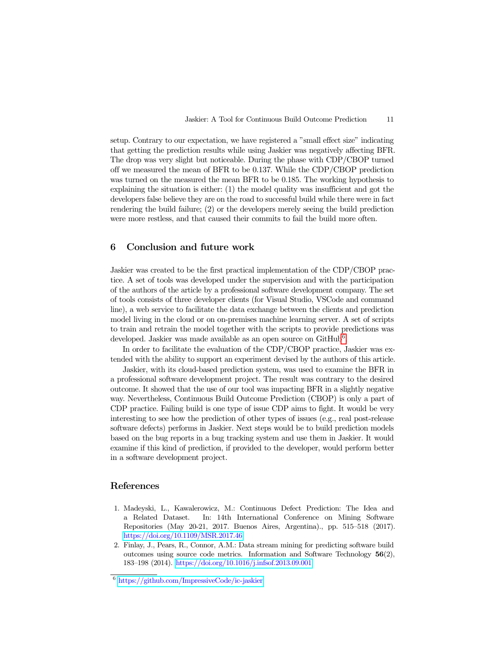setup. Contrary to our expectation, we have registered a "small effect size" indicating that getting the prediction results while using Jaskier was negatively affecting BFR. The drop was very slight but noticeable. During the phase with CDP/CBOP turned off we measured the mean of BFR to be 0.137. While the CDP/CBOP prediction was turned on the measured the mean BFR to be 0.185. The working hypothesis to explaining the situation is either: (1) the model quality was insufficient and got the developers false believe they are on the road to successful build while there were in fact rendering the build failure; (2) or the developers merely seeing the build prediction were more restless, and that caused their commits to fail the build more often.

# 6 Conclusion and future work

Jaskier was created to be the first practical implementation of the CDP/CBOP practice. A set of tools was developed under the supervision and with the participation of the authors of the article by a professional software development company. The set of tools consists of three developer clients (for Visual Studio, VSCode and command line), a web service to facilitate the data exchange between the clients and prediction model living in the cloud or on on-premises machine learning server. A set of scripts to train and retrain the model together with the scripts to provide predictions was developed. Jaskier was made available as an open source on  $\text{GitHub}^6$  $\text{GitHub}^6$ .

In order to facilitate the evaluation of the CDP/CBOP practice, Jaskier was extended with the ability to support an experiment devised by the authors of this article.

Jaskier, with its cloud-based prediction system, was used to examine the BFR in a professional software development project. The result was contrary to the desired outcome. It showed that the use of our tool was impacting BFR in a slightly negative way. Nevertheless, Continuous Build Outcome Prediction (CBOP) is only a part of CDP practice. Failing build is one type of issue CDP aims to fight. It would be very interesting to see how the prediction of other types of issues (e.g., real post-release software defects) performs in Jaskier. Next steps would be to build prediction models based on the bug reports in a bug tracking system and use them in Jaskier. It would examine if this kind of prediction, if provided to the developer, would perform better in a software development project.

# References

- <span id="page-10-0"></span>1. Madeyski, L., Kawalerowicz, M.: Continuous Defect Prediction: The Idea and a Related Dataset. In: 14th International Conference on Mining Software Repositories (May 20-21, 2017. Buenos Aires, Argentina)., pp. 515–518 (2017). <https://doi.org/10.1109/MSR.2017.46>
- <span id="page-10-1"></span>2. Finlay, J., Pears, R., Connor, A.M.: Data stream mining for predicting software build outcomes using source code metrics. Information and Software Technology  $56(2)$ , 183–198 (2014). <https://doi.org/10.1016/j.infsof.2013.09.001>

<span id="page-10-2"></span><sup>6</sup> <https://github.com/ImpressiveCode/ic-jaskier>